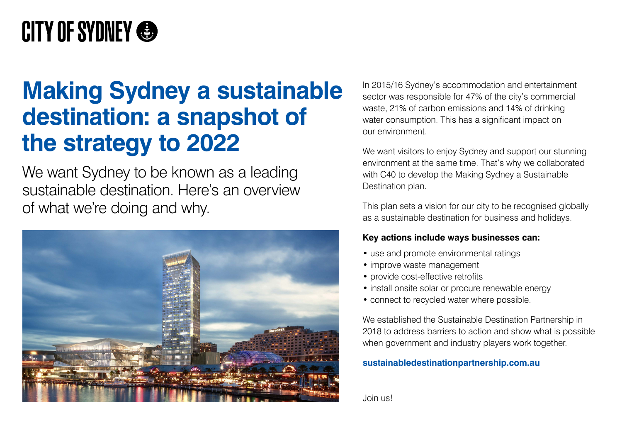In 2015/16 Sydney's accommodation and entertainment sector was responsible for 47% of the city's commercial waste, 21% of carbon emissions and 14% of drinking water consumption. This has a significant impact on our environment.

We want visitors to enjoy Sydney and support our stunning environment at the same time. That's why we collaborated with C40 to develop the Making Sydney a Sustainable Destination plan.

- use and promote environmental ratings
- improve waste management
- provide cost-effective retrofits
- install onsite solar or procure renewable energy
- connect to recycled water where possible.

This plan sets a vision for our city to be recognised globally as a sustainable destination for business and holidays.

## **Key actions include ways businesses can:**

We want Sydney to be known as a leading sustainable destination. Here's an overview of what we're doing and why.



We established the Sustainable Destination Partnership in 2018 to address barriers to action and show what is possible when government and industry players work together.

## **sustainabledestinationpartnership.com.au**

Join us!

# **CITY OF SYDNEY &**

# **Making Sydney a sustainable destination: a snapshot of the strategy to 2022**